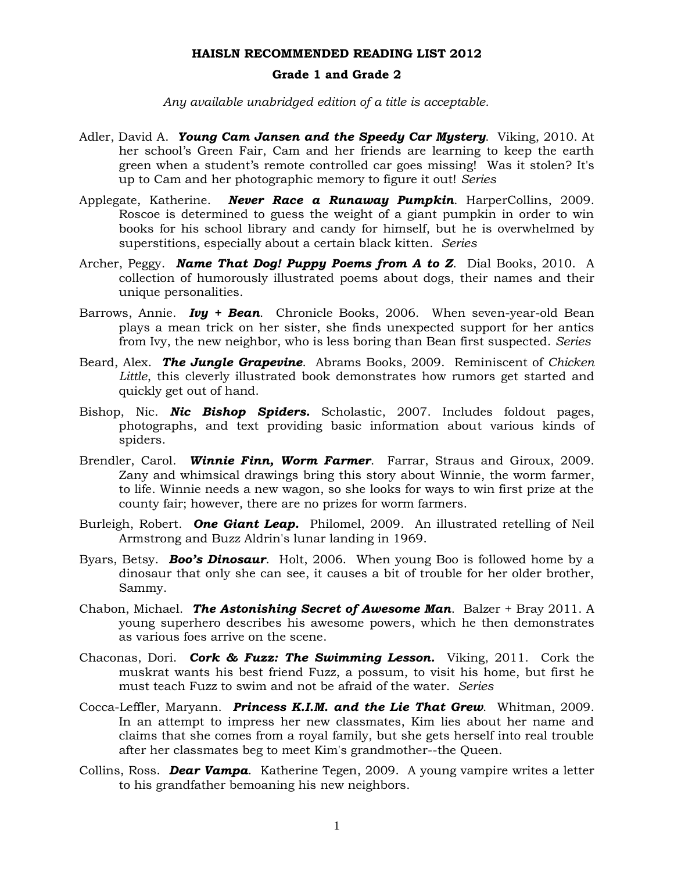# **Grade 1 and Grade 2**

 *Any available unabridged edition of a title is acceptable.*

- Adler, David A. *Young Cam Jansen and the Speedy Car Mystery*. Viking, 2010. At her school's Green Fair, Cam and her friends are learning to keep the earth green when a student's remote controlled car goes missing! Was it stolen? It's up to Cam and her photographic memory to figure it out! *Series*
- Applegate, Katherine. *Never Race a Runaway Pumpkin*. HarperCollins, 2009. Roscoe is determined to guess the weight of a giant pumpkin in order to win books for his school library and candy for himself, but he is overwhelmed by superstitions, especially about a certain black kitten. *Series*
- Archer, Peggy. *Name That Dog! Puppy Poems from A to Z*. Dial Books, 2010. A collection of humorously illustrated poems about dogs, their names and their unique personalities.
- Barrows, Annie. *Ivy + Bean*. Chronicle Books, 2006. When seven-year-old Bean plays a mean trick on her sister, she finds unexpected support for her antics from Ivy, the new neighbor, who is less boring than Bean first suspected. *Series*
- Beard, Alex. *The Jungle Grapevine*. Abrams Books, 2009. Reminiscent of *Chicken Little*, this cleverly illustrated book demonstrates how rumors get started and quickly get out of hand.
- Bishop, Nic. *Nic Bishop Spiders.* Scholastic, 2007. Includes foldout pages, photographs, and text providing basic information about various kinds of spiders.
- Brendler, Carol. *Winnie Finn, Worm Farmer*. Farrar, Straus and Giroux, 2009. Zany and whimsical drawings bring this story about Winnie, the worm farmer, to life. Winnie needs a new wagon, so she looks for ways to win first prize at the county fair; however, there are no prizes for worm farmers.
- Burleigh, Robert. *One Giant Leap.* Philomel, 2009. An illustrated retelling of Neil Armstrong and Buzz Aldrin's lunar landing in 1969.
- Byars, Betsy. *Boo's Dinosaur*. Holt, 2006. When young Boo is followed home by a dinosaur that only she can see, it causes a bit of trouble for her older brother, Sammy.
- Chabon, Michael. *The Astonishing Secret of Awesome Man*. Balzer + Bray 2011. A young superhero describes his awesome powers, which he then demonstrates as various foes arrive on the scene.
- Chaconas, Dori. *Cork & Fuzz: The Swimming Lesson.* Viking, 2011. Cork the muskrat wants his best friend Fuzz, a possum, to visit his home, but first he must teach Fuzz to swim and not be afraid of the water. *Series*
- Cocca-Leffler, Maryann. *Princess K.I.M. and the Lie That Grew*. Whitman, 2009. In an attempt to impress her new classmates, Kim lies about her name and claims that she comes from a royal family, but she gets herself into real trouble after her classmates beg to meet Kim's grandmother--the Queen.
- Collins, Ross. *Dear Vampa*. Katherine Tegen, 2009. A young vampire writes a letter to his grandfather bemoaning his new neighbors.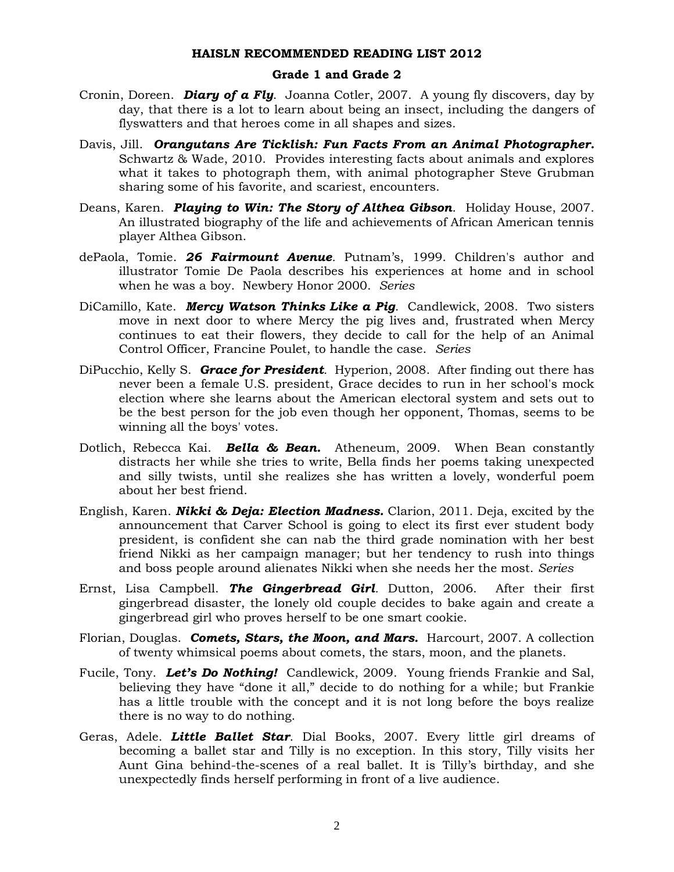- Cronin, Doreen. *Diary of a Fly*. Joanna Cotler, 2007. A young fly discovers, day by day, that there is a lot to learn about being an insect, including the dangers of flyswatters and that heroes come in all shapes and sizes.
- Davis, Jill. *Orangutans Are Ticklish: Fun Facts From an Animal Photographer.* Schwartz & Wade, 2010. Provides interesting facts about animals and explores what it takes to photograph them, with animal photographer Steve Grubman sharing some of his favorite, and scariest, encounters.
- Deans, Karen. *Playing to Win: The Story of Althea Gibson*.Holiday House, 2007. An illustrated biography of the life and achievements of African American tennis player Althea Gibson.
- dePaola, Tomie. *26 Fairmount Avenue.* Putnam's, 1999. Children's author and illustrator Tomie De Paola describes his experiences at home and in school when he was a boy. Newbery Honor 2000. *Series*
- DiCamillo, Kate. *Mercy Watson Thinks Like a Pig.* Candlewick, 2008. Two sisters move in next door to where Mercy the pig lives and, frustrated when Mercy continues to eat their flowers, they decide to call for the help of an Animal Control Officer, Francine Poulet, to handle the case. *Series*
- DiPucchio, Kelly S. *Grace for President.* Hyperion, 2008. After finding out there has never been a female U.S. president, Grace decides to run in her school's mock election where she learns about the American electoral system and sets out to be the best person for the job even though her opponent, Thomas, seems to be winning all the boys' votes.
- Dotlich, Rebecca Kai. *Bella & Bean.* Atheneum, 2009. When Bean constantly distracts her while she tries to write, Bella finds her poems taking unexpected and silly twists, until she realizes she has written a lovely, wonderful poem about her best friend.
- English, Karen. *Nikki & Deja: Election Madness.* Clarion, 2011. Deja, excited by the announcement that Carver School is going to elect its first ever student body president, is confident she can nab the third grade nomination with her best friend Nikki as her campaign manager; but her tendency to rush into things and boss people around alienates Nikki when she needs her the most. *Series*
- Ernst, Lisa Campbell. *The Gingerbread Girl.* Dutton, 2006. After their first gingerbread disaster, the lonely old couple decides to bake again and create a gingerbread girl who proves herself to be one smart cookie.
- Florian, Douglas. *Comets, Stars, the Moon, and Mars.* Harcourt, 2007. A collection of twenty whimsical poems about comets, the stars, moon, and the planets.
- Fucile, Tony. *Let's Do Nothing!* Candlewick, 2009. Young friends Frankie and Sal, believing they have "done it all," decide to do nothing for a while; but Frankie has a little trouble with the concept and it is not long before the boys realize there is no way to do nothing.
- Geras, Adele. *Little Ballet Star*. Dial Books, 2007. Every little girl dreams of becoming a ballet star and Tilly is no exception. In this story, Tilly visits her Aunt Gina behind-the-scenes of a real ballet. It is Tilly's birthday, and she unexpectedly finds herself performing in front of a live audience.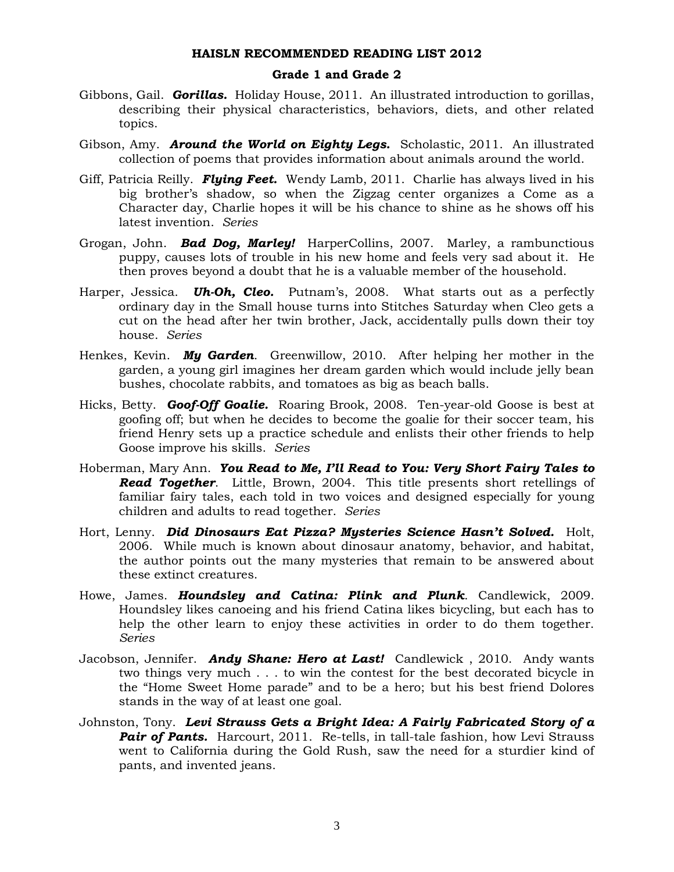- Gibbons, Gail. *Gorillas.* Holiday House, 2011. An illustrated introduction to gorillas, describing their physical characteristics, behaviors, diets, and other related topics.
- Gibson, Amy. *Around the World on Eighty Legs.* Scholastic, 2011. An illustrated collection of poems that provides information about animals around the world.
- Giff, Patricia Reilly. *Flying Feet.* Wendy Lamb, 2011. Charlie has always lived in his big brother's shadow, so when the Zigzag center organizes a Come as a Character day, Charlie hopes it will be his chance to shine as he shows off his latest invention. *Series*
- Grogan, John. *Bad Dog, Marley!* HarperCollins, 2007. Marley, a rambunctious puppy, causes lots of trouble in his new home and feels very sad about it. He then proves beyond a doubt that he is a valuable member of the household.
- Harper, Jessica. *Uh-Oh, Cleo.* Putnam's, 2008. What starts out as a perfectly ordinary day in the Small house turns into Stitches Saturday when Cleo gets a cut on the head after her twin brother, Jack, accidentally pulls down their toy house. *Series*
- Henkes, Kevin. *My Garden*. Greenwillow, 2010. After helping her mother in the garden, a young girl imagines her dream garden which would include jelly bean bushes, chocolate rabbits, and tomatoes as big as beach balls.
- Hicks, Betty. *Goof-Off Goalie.* Roaring Brook, 2008. Ten-year-old Goose is best at goofing off; but when he decides to become the goalie for their soccer team, his friend Henry sets up a practice schedule and enlists their other friends to help Goose improve his skills. *Series*
- Hoberman, Mary Ann. *You Read to Me, I'll Read to You: Very Short Fairy Tales to Read Together*. Little, Brown, 2004. This title presents short retellings of familiar fairy tales, each told in two voices and designed especially for young children and adults to read together. *Series*
- Hort, Lenny. *Did Dinosaurs Eat Pizza? Mysteries Science Hasn't Solved.* Holt, 2006. While much is known about dinosaur anatomy, behavior, and habitat, the author points out the many mysteries that remain to be answered about these extinct creatures.
- Howe, James. *Houndsley and Catina: Plink and Plunk*. Candlewick, 2009. Houndsley likes canoeing and his friend Catina likes bicycling, but each has to help the other learn to enjoy these activities in order to do them together. *Series*
- Jacobson, Jennifer. *Andy Shane: Hero at Last!* Candlewick , 2010. Andy wants two things very much . . . to win the contest for the best decorated bicycle in the "Home Sweet Home parade" and to be a hero; but his best friend Dolores stands in the way of at least one goal.
- Johnston, Tony. *Levi Strauss Gets a Bright Idea: A Fairly Fabricated Story of a*  **Pair of Pants.** Harcourt, 2011. Re-tells, in tall-tale fashion, how Levi Strauss went to California during the Gold Rush, saw the need for a sturdier kind of pants, and invented jeans.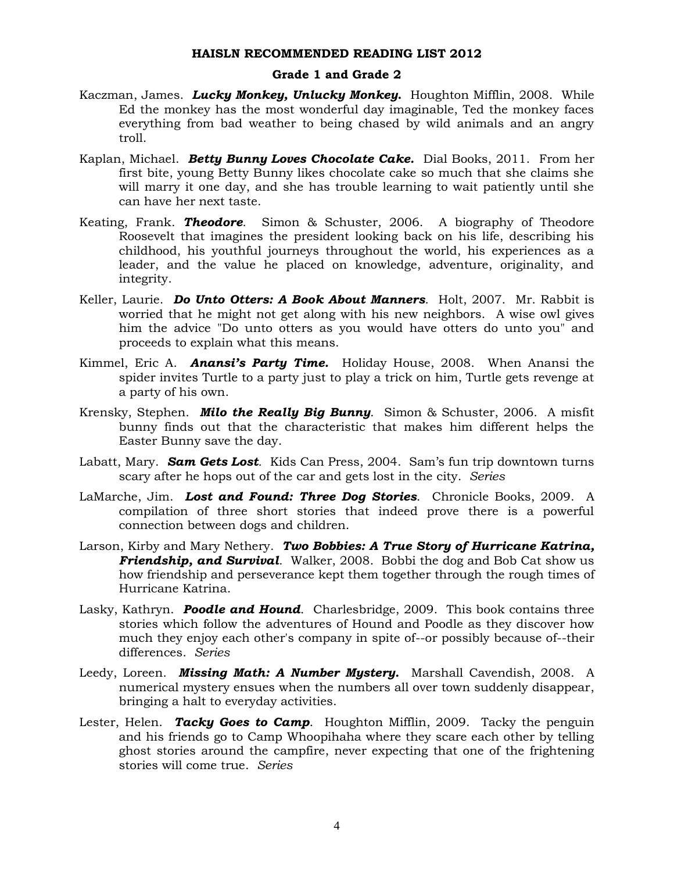- Kaczman, James. *Lucky Monkey, Unlucky Monkey***.** Houghton Mifflin, 2008. While Ed the monkey has the most wonderful day imaginable, Ted the monkey faces everything from bad weather to being chased by wild animals and an angry troll.
- Kaplan, Michael. *Betty Bunny Loves Chocolate Cake.* Dial Books, 2011. From her first bite, young Betty Bunny likes chocolate cake so much that she claims she will marry it one day, and she has trouble learning to wait patiently until she can have her next taste.
- Keating, Frank. *Theodore*. Simon & Schuster, 2006. A biography of Theodore Roosevelt that imagines the president looking back on his life, describing his childhood, his youthful journeys throughout the world, his experiences as a leader, and the value he placed on knowledge, adventure, originality, and integrity.
- Keller, Laurie. *Do Unto Otters: A Book About Manners*. Holt, 2007. Mr. Rabbit is worried that he might not get along with his new neighbors. A wise owl gives him the advice "Do unto otters as you would have otters do unto you" and proceeds to explain what this means.
- Kimmel, Eric A. *Anansi's Party Time.* Holiday House, 2008. When Anansi the spider invites Turtle to a party just to play a trick on him, Turtle gets revenge at a party of his own.
- Krensky, Stephen. *Milo the Really Big Bunny*. Simon & Schuster, 2006. A misfit bunny finds out that the characteristic that makes him different helps the Easter Bunny save the day.
- Labatt, Mary. *Sam Gets Lost.* Kids Can Press, 2004. Sam's fun trip downtown turns scary after he hops out of the car and gets lost in the city. *Series*
- LaMarche, Jim. *Lost and Found: Three Dog Stories*. Chronicle Books, 2009. A compilation of three short stories that indeed prove there is a powerful connection between dogs and children.
- Larson, Kirby and Mary Nethery. *Two Bobbies: A True Story of Hurricane Katrina, Friendship, and Survival*. Walker, 2008. Bobbi the dog and Bob Cat show us how friendship and perseverance kept them together through the rough times of Hurricane Katrina.
- Lasky, Kathryn. *Poodle and Hound*. Charlesbridge, 2009. This book contains three stories which follow the adventures of Hound and Poodle as they discover how much they enjoy each other's company in spite of--or possibly because of--their differences. *Series*
- Leedy, Loreen. *Missing Math: A Number Mystery.* Marshall Cavendish, 2008. A numerical mystery ensues when the numbers all over town suddenly disappear, bringing a halt to everyday activities.
- Lester, Helen. *Tacky Goes to Camp*. Houghton Mifflin, 2009. Tacky the penguin and his friends go to Camp Whoopihaha where they scare each other by telling ghost stories around the campfire, never expecting that one of the frightening stories will come true. *Series*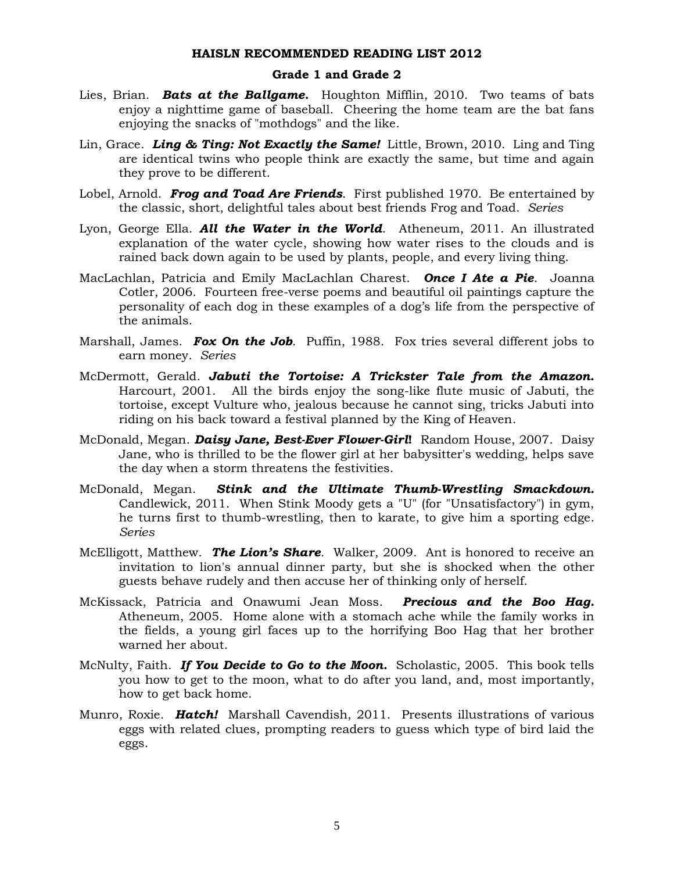- Lies, Brian. *Bats at the Ballgame.* Houghton Mifflin, 2010. Two teams of bats enjoy a nighttime game of baseball. Cheering the home team are the bat fans enjoying the snacks of "mothdogs" and the like.
- Lin, Grace. *Ling & Ting: Not Exactly the Same!* Little, Brown, 2010. Ling and Ting are identical twins who people think are exactly the same, but time and again they prove to be different.
- Lobel, Arnold. *Frog and Toad Are Friends*. First published 1970. Be entertained by the classic, short, delightful tales about best friends Frog and Toad. *Series*
- Lyon, George Ella. *All the Water in the World*. Atheneum, 2011. An illustrated explanation of the water cycle, showing how water rises to the clouds and is rained back down again to be used by plants, people, and every living thing.
- MacLachlan, Patricia and Emily MacLachlan Charest. *Once I Ate a Pie*. Joanna Cotler, 2006. Fourteen free-verse poems and beautiful oil paintings capture the personality of each dog in these examples of a dog's life from the perspective of the animals.
- Marshall, James. *Fox On the Job*. Puffin, 1988. Fox tries several different jobs to earn money. *Series*
- McDermott, Gerald. *Jabuti the Tortoise: A Trickster Tale from the Amazon.* Harcourt, 2001. All the birds enjoy the song-like flute music of Jabuti, the tortoise, except Vulture who, jealous because he cannot sing, tricks Jabuti into riding on his back toward a festival planned by the King of Heaven.
- McDonald, Megan. *Daisy Jane, Best-Ever Flower-Girl***!** Random House, 2007. Daisy Jane, who is thrilled to be the flower girl at her babysitter's wedding, helps save the day when a storm threatens the festivities.
- McDonald, Megan. *Stink and the Ultimate Thumb-Wrestling Smackdown.* Candlewick, 2011. When Stink Moody gets a "U" (for "Unsatisfactory") in gym, he turns first to thumb-wrestling, then to karate, to give him a sporting edge. *Series*
- McElligott, Matthew. *The Lion's Share*. Walker, 2009. Ant is honored to receive an invitation to lion's annual dinner party, but she is shocked when the other guests behave rudely and then accuse her of thinking only of herself.
- McKissack, Patricia and Onawumi Jean Moss. *Precious and the Boo Hag.*  Atheneum, 2005. Home alone with a stomach ache while the family works in the fields, a young girl faces up to the horrifying Boo Hag that her brother warned her about.
- McNulty, Faith. *If You Decide to Go to the Moon.* Scholastic, 2005. This book tells you how to get to the moon, what to do after you land, and, most importantly, how to get back home.
- Munro, Roxie. *Hatch!* Marshall Cavendish, 2011. Presents illustrations of various eggs with related clues, prompting readers to guess which type of bird laid the eggs.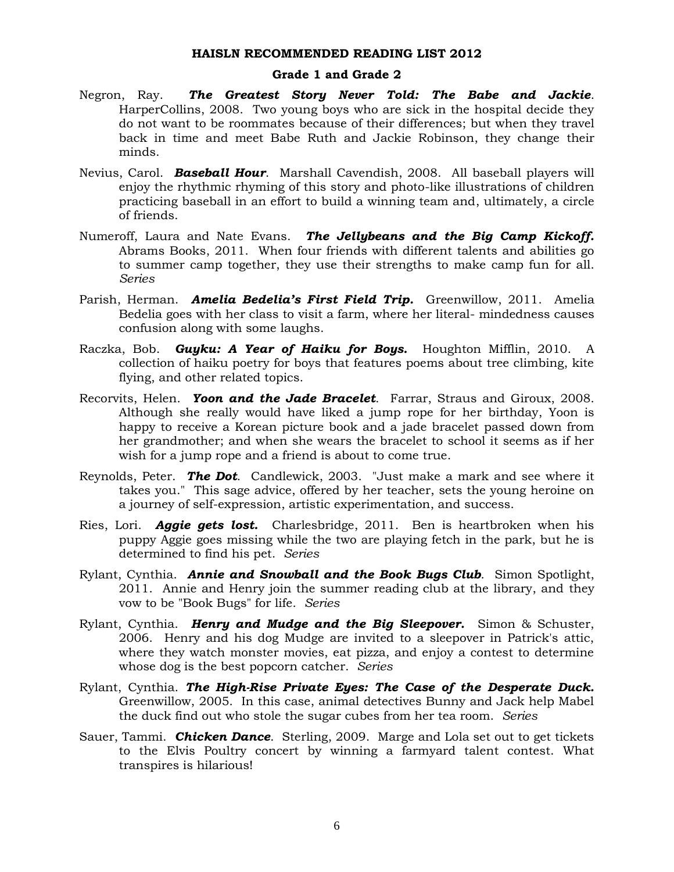- Negron, Ray. *The Greatest Story Never Told: The Babe and Jackie*. HarperCollins, 2008. Two young boys who are sick in the hospital decide they do not want to be roommates because of their differences; but when they travel back in time and meet Babe Ruth and Jackie Robinson, they change their minds.
- Nevius, Carol. *Baseball Hour*. Marshall Cavendish, 2008. All baseball players will enjoy the rhythmic rhyming of this story and photo-like illustrations of children practicing baseball in an effort to build a winning team and, ultimately, a circle of friends.
- Numeroff, Laura and Nate Evans. *The Jellybeans and the Big Camp Kickoff.*  Abrams Books, 2011. When four friends with different talents and abilities go to summer camp together, they use their strengths to make camp fun for all. *Series*
- Parish, Herman. *Amelia Bedelia's First Field Trip.* Greenwillow, 2011. Amelia Bedelia goes with her class to visit a farm, where her literal- mindedness causes confusion along with some laughs.
- Raczka, Bob. *Guyku: A Year of Haiku for Boys.* Houghton Mifflin, 2010. A collection of haiku poetry for boys that features poems about tree climbing, kite flying, and other related topics.
- Recorvits, Helen. *Yoon and the Jade Bracelet*. Farrar, Straus and Giroux, 2008. Although she really would have liked a jump rope for her birthday, Yoon is happy to receive a Korean picture book and a jade bracelet passed down from her grandmother; and when she wears the bracelet to school it seems as if her wish for a jump rope and a friend is about to come true.
- Reynolds, Peter. *The Dot*. Candlewick, 2003. "Just make a mark and see where it takes you." This sage advice, offered by her teacher, sets the young heroine on a journey of self-expression, artistic experimentation, and success.
- Ries, Lori. *Aggie gets lost.* Charlesbridge, 2011. Ben is heartbroken when his puppy Aggie goes missing while the two are playing fetch in the park, but he is determined to find his pet. *Series*
- Rylant, Cynthia. *Annie and Snowball and the Book Bugs Club*. Simon Spotlight, 2011. Annie and Henry join the summer reading club at the library, and they vow to be "Book Bugs" for life. *Series*
- Rylant, Cynthia. *Henry and Mudge and the Big Sleepover.* Simon & Schuster, 2006. Henry and his dog Mudge are invited to a sleepover in Patrick's attic, where they watch monster movies, eat pizza, and enjoy a contest to determine whose dog is the best popcorn catcher. *Series*
- Rylant, Cynthia. *The High-Rise Private Eyes: The Case of the Desperate Duck.* Greenwillow, 2005. In this case, animal detectives Bunny and Jack help Mabel the duck find out who stole the sugar cubes from her tea room. *Series*
- Sauer, Tammi. *Chicken Dance*. Sterling, 2009. Marge and Lola set out to get tickets to the Elvis Poultry concert by winning a farmyard talent contest. What transpires is hilarious!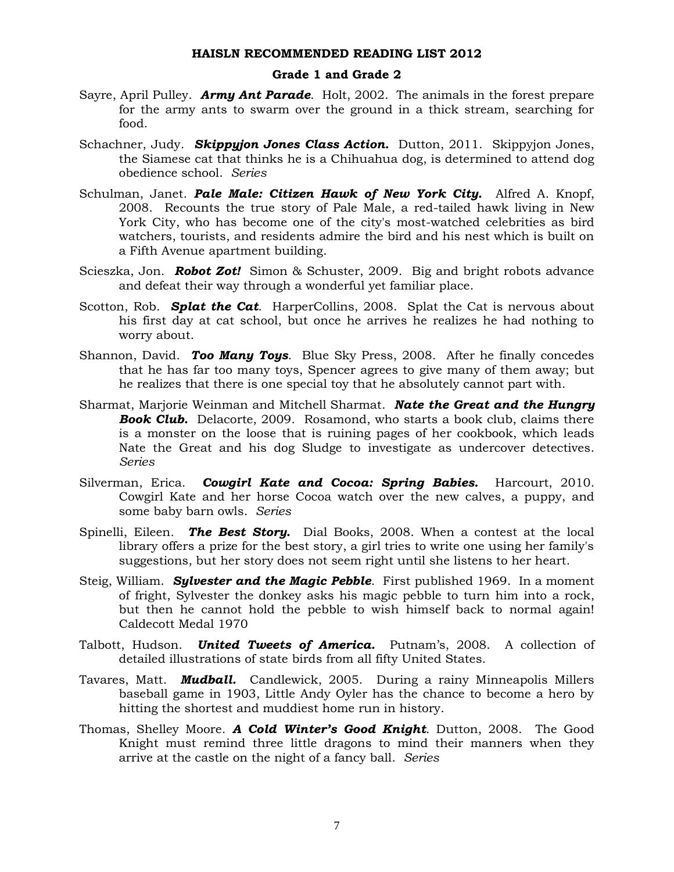- Sayre, April Pulley. *Army Ant Parade*. Holt, 2002. The animals in the forest prepare for the army ants to swarm over the ground in a thick stream, searching for food.
- Schachner, Judy. *Skippyjon Jones Class Action.* Dutton, 2011. Skippyjon Jones, the Siamese cat that thinks he is a Chihuahua dog, is determined to attend dog obedience school. *Series*
- Schulman, Janet. *Pale Male: Citizen Hawk of New York City.* Alfred A. Knopf, 2008. Recounts the true story of Pale Male, a red-tailed hawk living in New York City, who has become one of the city's most-watched celebrities as bird watchers, tourists, and residents admire the bird and his nest which is built on a Fifth Avenue apartment building.
- Scieszka, Jon. *Robot Zot!* Simon & Schuster, 2009. Big and bright robots advance and defeat their way through a wonderful yet familiar place.
- Scotton, Rob. *Splat the Cat*. HarperCollins, 2008. Splat the Cat is nervous about his first day at cat school, but once he arrives he realizes he had nothing to worry about.
- Shannon, David. *Too Many Toys*. Blue Sky Press, 2008. After he finally concedes that he has far too many toys, Spencer agrees to give many of them away; but he realizes that there is one special toy that he absolutely cannot part with.
- Sharmat, Marjorie Weinman and Mitchell Sharmat. *Nate the Great and the Hungry*  **Book Club.** Delacorte, 2009. Rosamond, who starts a book club, claims there is a monster on the loose that is ruining pages of her cookbook, which leads Nate the Great and his dog Sludge to investigate as undercover detectives. *Series*
- Silverman, Erica. *Cowgirl Kate and Cocoa: Spring Babies.* Harcourt, 2010. Cowgirl Kate and her horse Cocoa watch over the new calves, a puppy, and some baby barn owls. *Series*
- Spinelli, Eileen*. The Best Story.* Dial Books, 2008. When a contest at the local library offers a prize for the best story, a girl tries to write one using her family's suggestions, but her story does not seem right until she listens to her heart.
- Steig, William. *Sylvester and the Magic Pebble*. First published 1969. In a moment of fright, Sylvester the donkey asks his magic pebble to turn him into a rock, but then he cannot hold the pebble to wish himself back to normal again! Caldecott Medal 1970
- Talbott, Hudson. *United Tweets of America.* Putnam's, 2008. A collection of detailed illustrations of state birds from all fifty United States.
- Tavares, Matt. *Mudball.* Candlewick, 2005. During a rainy Minneapolis Millers baseball game in 1903, Little Andy Oyler has the chance to become a hero by hitting the shortest and muddiest home run in history.
- Thomas, Shelley Moore. *A Cold Winter's Good Knight*. Dutton, 2008. The Good Knight must remind three little dragons to mind their manners when they arrive at the castle on the night of a fancy ball. *Series*